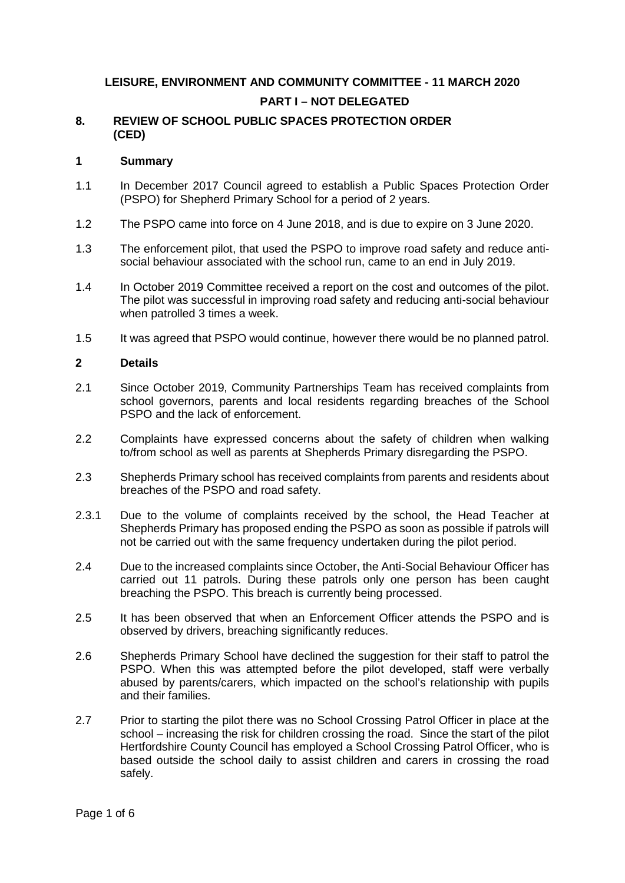# **LEISURE, ENVIRONMENT AND COMMUNITY COMMITTEE - 11 MARCH 2020 PART I – NOT DELEGATED**

# **8. REVIEW OF SCHOOL PUBLIC SPACES PROTECTION ORDER (CED)**

# **1 Summary**

- 1.1 In December 2017 Council agreed to establish a Public Spaces Protection Order (PSPO) for Shepherd Primary School for a period of 2 years.
- 1.2 The PSPO came into force on 4 June 2018, and is due to expire on 3 June 2020.
- 1.3 The enforcement pilot, that used the PSPO to improve road safety and reduce antisocial behaviour associated with the school run, came to an end in July 2019.
- 1.4 In October 2019 Committee received a report on the cost and outcomes of the pilot. The pilot was successful in improving road safety and reducing anti-social behaviour when patrolled 3 times a week.
- 1.5 It was agreed that PSPO would continue, however there would be no planned patrol.

### **2 Details**

- 2.1 Since October 2019, Community Partnerships Team has received complaints from school governors, parents and local residents regarding breaches of the School PSPO and the lack of enforcement.
- 2.2 Complaints have expressed concerns about the safety of children when walking to/from school as well as parents at Shepherds Primary disregarding the PSPO.
- 2.3 Shepherds Primary school has received complaints from parents and residents about breaches of the PSPO and road safety.
- 2.3.1 Due to the volume of complaints received by the school, the Head Teacher at Shepherds Primary has proposed ending the PSPO as soon as possible if patrols will not be carried out with the same frequency undertaken during the pilot period.
- 2.4 Due to the increased complaints since October, the Anti-Social Behaviour Officer has carried out 11 patrols. During these patrols only one person has been caught breaching the PSPO. This breach is currently being processed.
- 2.5 It has been observed that when an Enforcement Officer attends the PSPO and is observed by drivers, breaching significantly reduces.
- 2.6 Shepherds Primary School have declined the suggestion for their staff to patrol the PSPO. When this was attempted before the pilot developed, staff were verbally abused by parents/carers, which impacted on the school's relationship with pupils and their families.
- 2.7 Prior to starting the pilot there was no School Crossing Patrol Officer in place at the school – increasing the risk for children crossing the road. Since the start of the pilot Hertfordshire County Council has employed a School Crossing Patrol Officer, who is based outside the school daily to assist children and carers in crossing the road safely.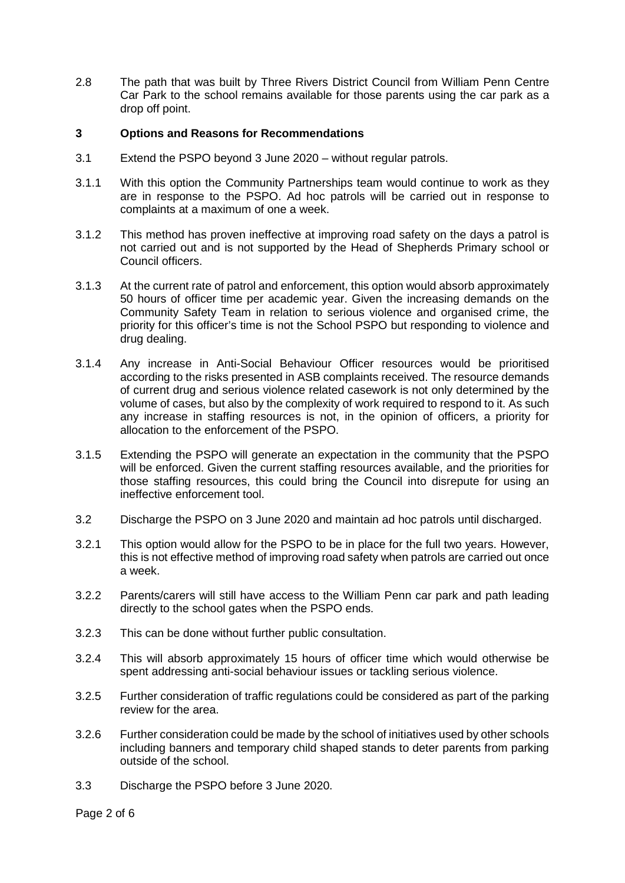2.8 The path that was built by Three Rivers District Council from William Penn Centre Car Park to the school remains available for those parents using the car park as a drop off point.

## **3 Options and Reasons for Recommendations**

- 3.1 Extend the PSPO beyond 3 June 2020 without regular patrols.
- 3.1.1 With this option the Community Partnerships team would continue to work as they are in response to the PSPO. Ad hoc patrols will be carried out in response to complaints at a maximum of one a week.
- 3.1.2 This method has proven ineffective at improving road safety on the days a patrol is not carried out and is not supported by the Head of Shepherds Primary school or Council officers.
- 3.1.3 At the current rate of patrol and enforcement, this option would absorb approximately 50 hours of officer time per academic year. Given the increasing demands on the Community Safety Team in relation to serious violence and organised crime, the priority for this officer's time is not the School PSPO but responding to violence and drug dealing.
- 3.1.4 Any increase in Anti-Social Behaviour Officer resources would be prioritised according to the risks presented in ASB complaints received. The resource demands of current drug and serious violence related casework is not only determined by the volume of cases, but also by the complexity of work required to respond to it. As such any increase in staffing resources is not, in the opinion of officers, a priority for allocation to the enforcement of the PSPO.
- 3.1.5 Extending the PSPO will generate an expectation in the community that the PSPO will be enforced. Given the current staffing resources available, and the priorities for those staffing resources, this could bring the Council into disrepute for using an ineffective enforcement tool.
- 3.2 Discharge the PSPO on 3 June 2020 and maintain ad hoc patrols until discharged.
- 3.2.1 This option would allow for the PSPO to be in place for the full two years. However, this is not effective method of improving road safety when patrols are carried out once a week.
- 3.2.2 Parents/carers will still have access to the William Penn car park and path leading directly to the school gates when the PSPO ends.
- 3.2.3 This can be done without further public consultation.
- 3.2.4 This will absorb approximately 15 hours of officer time which would otherwise be spent addressing anti-social behaviour issues or tackling serious violence.
- 3.2.5 Further consideration of traffic regulations could be considered as part of the parking review for the area.
- 3.2.6 Further consideration could be made by the school of initiatives used by other schools including banners and temporary child shaped stands to deter parents from parking outside of the school.
- 3.3 Discharge the PSPO before 3 June 2020.

Page 2 of 6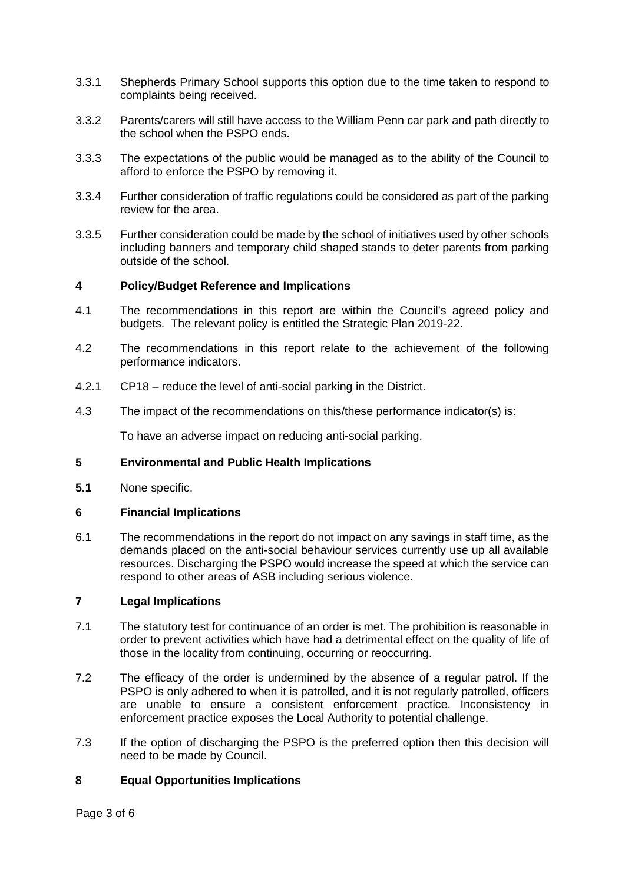- 3.3.1 Shepherds Primary School supports this option due to the time taken to respond to complaints being received.
- 3.3.2 Parents/carers will still have access to the William Penn car park and path directly to the school when the PSPO ends.
- 3.3.3 The expectations of the public would be managed as to the ability of the Council to afford to enforce the PSPO by removing it.
- 3.3.4 Further consideration of traffic regulations could be considered as part of the parking review for the area.
- 3.3.5 Further consideration could be made by the school of initiatives used by other schools including banners and temporary child shaped stands to deter parents from parking outside of the school.

### **4 Policy/Budget Reference and Implications**

- 4.1 The recommendations in this report are within the Council's agreed policy and budgets. The relevant policy is entitled the Strategic Plan 2019-22.
- 4.2 The recommendations in this report relate to the achievement of the following performance indicators.
- 4.2.1 CP18 reduce the level of anti-social parking in the District.
- 4.3 The impact of the recommendations on this/these performance indicator(s) is:

To have an adverse impact on reducing anti-social parking.

#### **5 Environmental and Public Health Implications**

**5.1** None specific.

#### **6 Financial Implications**

6.1 The recommendations in the report do not impact on any savings in staff time, as the demands placed on the anti-social behaviour services currently use up all available resources. Discharging the PSPO would increase the speed at which the service can respond to other areas of ASB including serious violence.

## **7 Legal Implications**

- 7.1 The statutory test for continuance of an order is met. The prohibition is reasonable in order to prevent activities which have had a detrimental effect on the quality of life of those in the locality from continuing, occurring or reoccurring.
- 7.2 The efficacy of the order is undermined by the absence of a regular patrol. If the PSPO is only adhered to when it is patrolled, and it is not regularly patrolled, officers are unable to ensure a consistent enforcement practice. Inconsistency in enforcement practice exposes the Local Authority to potential challenge.
- 7.3 If the option of discharging the PSPO is the preferred option then this decision will need to be made by Council.

# **8 Equal Opportunities Implications**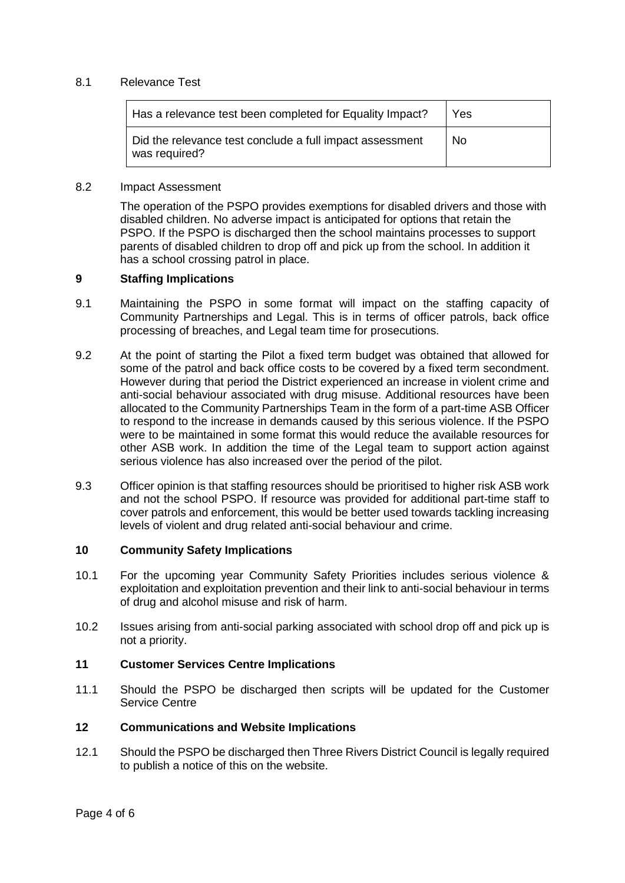#### 8.1 Relevance Test

| Has a relevance test been completed for Equality Impact?                  | Yes |
|---------------------------------------------------------------------------|-----|
| Did the relevance test conclude a full impact assessment<br>was required? | No  |

#### 8.2 Impact Assessment

The operation of the PSPO provides exemptions for disabled drivers and those with disabled children. No adverse impact is anticipated for options that retain the PSPO. If the PSPO is discharged then the school maintains processes to support parents of disabled children to drop off and pick up from the school. In addition it has a school crossing patrol in place.

### **9 Staffing Implications**

- 9.1 Maintaining the PSPO in some format will impact on the staffing capacity of Community Partnerships and Legal. This is in terms of officer patrols, back office processing of breaches, and Legal team time for prosecutions.
- 9.2 At the point of starting the Pilot a fixed term budget was obtained that allowed for some of the patrol and back office costs to be covered by a fixed term secondment. However during that period the District experienced an increase in violent crime and anti-social behaviour associated with drug misuse. Additional resources have been allocated to the Community Partnerships Team in the form of a part-time ASB Officer to respond to the increase in demands caused by this serious violence. If the PSPO were to be maintained in some format this would reduce the available resources for other ASB work. In addition the time of the Legal team to support action against serious violence has also increased over the period of the pilot.
- 9.3 Officer opinion is that staffing resources should be prioritised to higher risk ASB work and not the school PSPO. If resource was provided for additional part-time staff to cover patrols and enforcement, this would be better used towards tackling increasing levels of violent and drug related anti-social behaviour and crime.

#### **10 Community Safety Implications**

- 10.1 For the upcoming year Community Safety Priorities includes serious violence & exploitation and exploitation prevention and their link to anti-social behaviour in terms of drug and alcohol misuse and risk of harm.
- 10.2 Issues arising from anti-social parking associated with school drop off and pick up is not a priority.

## **11 Customer Services Centre Implications**

11.1 Should the PSPO be discharged then scripts will be updated for the Customer Service Centre

#### **12 Communications and Website Implications**

12.1 Should the PSPO be discharged then Three Rivers District Council is legally required to publish a notice of this on the website.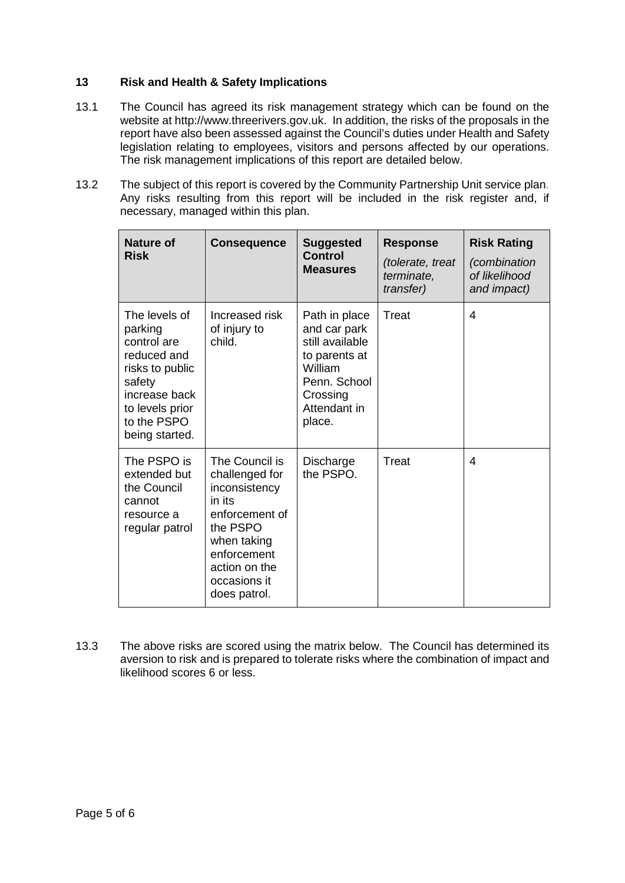# **13 Risk and Health & Safety Implications**

- 13.1 The Council has agreed its risk management strategy which can be found on the website at http://www.threerivers.gov.uk. In addition, the risks of the proposals in the report have also been assessed against the Council's duties under Health and Safety legislation relating to employees, visitors and persons affected by our operations. The risk management implications of this report are detailed below.
- 13.2 The subject of this report is covered by the Community Partnership Unit service plan. Any risks resulting from this report will be included in the risk register and, if necessary, managed within this plan.

| Nature of<br><b>Risk</b>                                                                                                                                 | <b>Consequence</b>                                                                                                                                                       | <b>Suggested</b><br><b>Control</b><br><b>Measures</b>                                                                              | <b>Response</b><br>(tolerate, treat<br>terminate,<br>transfer) | <b>Risk Rating</b><br><i>(combination</i><br>of likelihood<br>and impact) |
|----------------------------------------------------------------------------------------------------------------------------------------------------------|--------------------------------------------------------------------------------------------------------------------------------------------------------------------------|------------------------------------------------------------------------------------------------------------------------------------|----------------------------------------------------------------|---------------------------------------------------------------------------|
| The levels of<br>parking<br>control are<br>reduced and<br>risks to public<br>safety<br>increase back<br>to levels prior<br>to the PSPO<br>being started. | Increased risk<br>of injury to<br>child.                                                                                                                                 | Path in place<br>and car park<br>still available<br>to parents at<br>William<br>Penn. School<br>Crossing<br>Attendant in<br>place. | Treat                                                          | 4                                                                         |
| The PSPO is<br>extended but<br>the Council<br>cannot<br>resource a<br>regular patrol                                                                     | The Council is<br>challenged for<br>inconsistency<br>in its<br>enforcement of<br>the PSPO<br>when taking<br>enforcement<br>action on the<br>occasions it<br>does patrol. | Discharge<br>the PSPO.                                                                                                             | <b>Treat</b>                                                   | 4                                                                         |

13.3 The above risks are scored using the matrix below. The Council has determined its aversion to risk and is prepared to tolerate risks where the combination of impact and likelihood scores 6 or less.